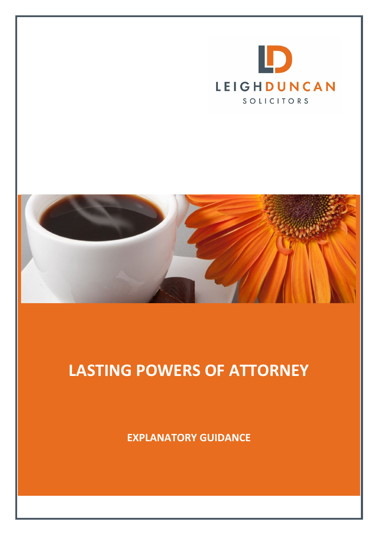



# LASTING POWERS OF ATTORNEY

EXPLANATORY GUIDANCE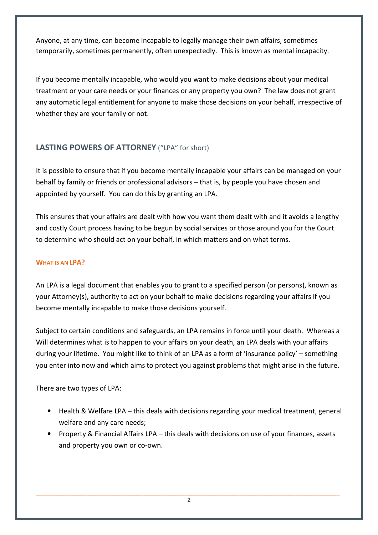Anyone, at any time, can become incapable to legally manage their own affairs, sometimes temporarily, sometimes permanently, often unexpectedly. This is known as mental incapacity.

If you become mentally incapable, who would you want to make decisions about your medical treatment or your care needs or your finances or any property you own? The law does not grant any automatic legal entitlement for anyone to make those decisions on your behalf, irrespective of whether they are your family or not.

# LASTING POWERS OF ATTORNEY ("LPA" for short)

It is possible to ensure that if you become mentally incapable your affairs can be managed on your behalf by family or friends or professional advisors – that is, by people you have chosen and appointed by yourself. You can do this by granting an LPA.

This ensures that your affairs are dealt with how you want them dealt with and it avoids a lengthy and costly Court process having to be begun by social services or those around you for the Court to determine who should act on your behalf, in which matters and on what terms.

# WHAT IS AN LPA?

An LPA is a legal document that enables you to grant to a specified person (or persons), known as your Attorney(s), authority to act on your behalf to make decisions regarding your affairs if you become mentally incapable to make those decisions yourself.

Subject to certain conditions and safeguards, an LPA remains in force until your death. Whereas a Will determines what is to happen to your affairs on your death, an LPA deals with your affairs during your lifetime. You might like to think of an LPA as a form of 'insurance policy' – something you enter into now and which aims to protect you against problems that might arise in the future.

There are two types of LPA:

- Health & Welfare LPA this deals with decisions regarding your medical treatment, general welfare and any care needs;
- Property & Financial Affairs LPA this deals with decisions on use of your finances, assets and property you own or co-own.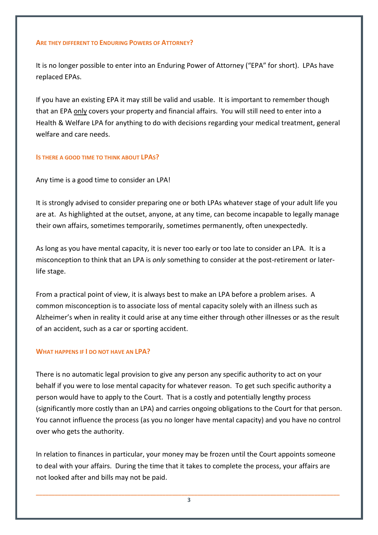#### ARE THEY DIFFERENT TO ENDURING POWERS OF ATTORNEY?

It is no longer possible to enter into an Enduring Power of Attorney ("EPA" for short). LPAs have replaced EPAs.

If you have an existing EPA it may still be valid and usable. It is important to remember though that an EPA only covers your property and financial affairs. You will still need to enter into a Health & Welfare LPA for anything to do with decisions regarding your medical treatment, general welfare and care needs.

#### IS THERE A GOOD TIME TO THINK ABOUT LPAS?

Any time is a good time to consider an LPA!

It is strongly advised to consider preparing one or both LPAs whatever stage of your adult life you are at. As highlighted at the outset, anyone, at any time, can become incapable to legally manage their own affairs, sometimes temporarily, sometimes permanently, often unexpectedly.

As long as you have mental capacity, it is never too early or too late to consider an LPA. It is a misconception to think that an LPA is only something to consider at the post-retirement or laterlife stage.

From a practical point of view, it is always best to make an LPA before a problem arises. A common misconception is to associate loss of mental capacity solely with an illness such as Alzheimer's when in reality it could arise at any time either through other illnesses or as the result of an accident, such as a car or sporting accident.

#### WHAT HAPPENS IF I DO NOT HAVE AN LPA?

There is no automatic legal provision to give any person any specific authority to act on your behalf if you were to lose mental capacity for whatever reason. To get such specific authority a person would have to apply to the Court. That is a costly and potentially lengthy process (significantly more costly than an LPA) and carries ongoing obligations to the Court for that person. You cannot influence the process (as you no longer have mental capacity) and you have no control over who gets the authority.

In relation to finances in particular, your money may be frozen until the Court appoints someone to deal with your affairs. During the time that it takes to complete the process, your affairs are not looked after and bills may not be paid.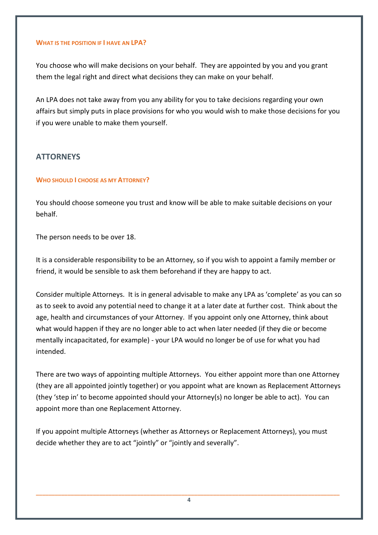#### WHAT IS THE POSITION IF I HAVE AN LPA?

You choose who will make decisions on your behalf. They are appointed by you and you grant them the legal right and direct what decisions they can make on your behalf.

An LPA does not take away from you any ability for you to take decisions regarding your own affairs but simply puts in place provisions for who you would wish to make those decisions for you if you were unable to make them yourself.

# **ATTORNEYS**

# WHO SHOULD I CHOOSE AS MY ATTORNEY?

You should choose someone you trust and know will be able to make suitable decisions on your behalf.

The person needs to be over 18.

It is a considerable responsibility to be an Attorney, so if you wish to appoint a family member or friend, it would be sensible to ask them beforehand if they are happy to act.

Consider multiple Attorneys. It is in general advisable to make any LPA as 'complete' as you can so as to seek to avoid any potential need to change it at a later date at further cost. Think about the age, health and circumstances of your Attorney. If you appoint only one Attorney, think about what would happen if they are no longer able to act when later needed (if they die or become mentally incapacitated, for example) - your LPA would no longer be of use for what you had intended.

There are two ways of appointing multiple Attorneys. You either appoint more than one Attorney (they are all appointed jointly together) or you appoint what are known as Replacement Attorneys (they 'step in' to become appointed should your Attorney(s) no longer be able to act). You can appoint more than one Replacement Attorney.

If you appoint multiple Attorneys (whether as Attorneys or Replacement Attorneys), you must decide whether they are to act "jointly" or "jointly and severally".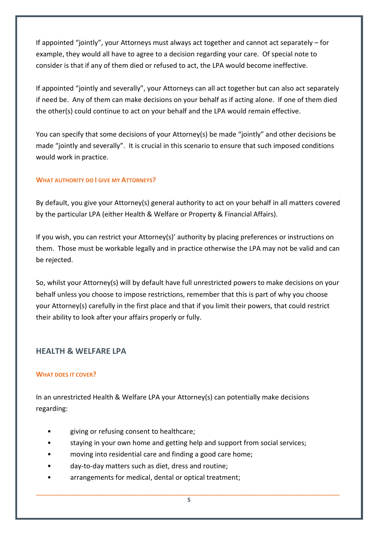If appointed "jointly", your Attorneys must always act together and cannot act separately – for example, they would all have to agree to a decision regarding your care. Of special note to consider is that if any of them died or refused to act, the LPA would become ineffective.

If appointed "jointly and severally", your Attorneys can all act together but can also act separately if need be. Any of them can make decisions on your behalf as if acting alone. If one of them died the other(s) could continue to act on your behalf and the LPA would remain effective.

You can specify that some decisions of your Attorney(s) be made "jointly" and other decisions be made "jointly and severally". It is crucial in this scenario to ensure that such imposed conditions would work in practice.

# WHAT AUTHORITY DO I GIVE MY ATTORNEYS?

By default, you give your Attorney(s) general authority to act on your behalf in all matters covered by the particular LPA (either Health & Welfare or Property & Financial Affairs).

If you wish, you can restrict your Attorney(s)' authority by placing preferences or instructions on them. Those must be workable legally and in practice otherwise the LPA may not be valid and can be rejected.

So, whilst your Attorney(s) will by default have full unrestricted powers to make decisions on your behalf unless you choose to impose restrictions, remember that this is part of why you choose your Attorney(s) carefully in the first place and that if you limit their powers, that could restrict their ability to look after your affairs properly or fully.

# HEALTH & WELFARE LPA

# WHAT DOES IT COVER?

In an unrestricted Health & Welfare LPA your Attorney(s) can potentially make decisions regarding:

- giving or refusing consent to healthcare;
- staying in your own home and getting help and support from social services;
- moving into residential care and finding a good care home;
- day-to-day matters such as diet, dress and routine;
- arrangements for medical, dental or optical treatment;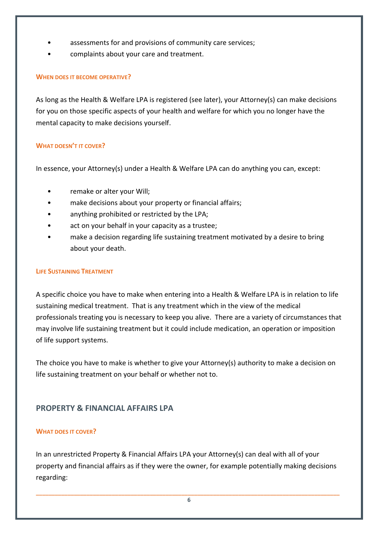- assessments for and provisions of community care services;
- complaints about your care and treatment.

# WHEN DOES IT BECOME OPERATIVE?

As long as the Health & Welfare LPA is registered (see later), your Attorney(s) can make decisions for you on those specific aspects of your health and welfare for which you no longer have the mental capacity to make decisions yourself.

# WHAT DOESN'T IT COVER?

In essence, your Attorney(s) under a Health & Welfare LPA can do anything you can, except:

- remake or alter your Will;
- make decisions about your property or financial affairs;
- anything prohibited or restricted by the LPA;
- act on your behalf in your capacity as a trustee;
- make a decision regarding life sustaining treatment motivated by a desire to bring about your death.

# LIFE SUSTAINING TREATMENT

A specific choice you have to make when entering into a Health & Welfare LPA is in relation to life sustaining medical treatment. That is any treatment which in the view of the medical professionals treating you is necessary to keep you alive. There are a variety of circumstances that may involve life sustaining treatment but it could include medication, an operation or imposition of life support systems.

The choice you have to make is whether to give your Attorney(s) authority to make a decision on life sustaining treatment on your behalf or whether not to.

# PROPERTY & FINANCIAL AFFAIRS LPA

# WHAT DOES IT COVER?

In an unrestricted Property & Financial Affairs LPA your Attorney(s) can deal with all of your property and financial affairs as if they were the owner, for example potentially making decisions regarding: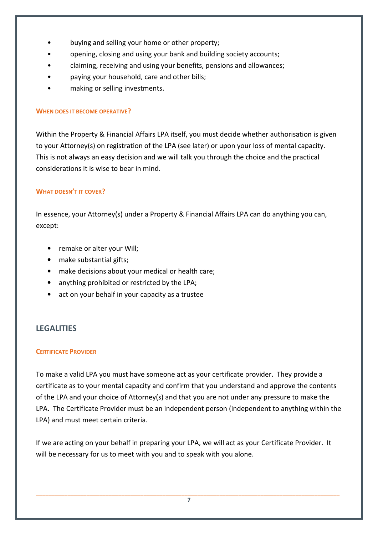- buying and selling your home or other property;
- opening, closing and using your bank and building society accounts;
- claiming, receiving and using your benefits, pensions and allowances;
- paying your household, care and other bills;
- making or selling investments.

#### WHEN DOES IT BECOME OPERATIVE?

Within the Property & Financial Affairs LPA itself, you must decide whether authorisation is given to your Attorney(s) on registration of the LPA (see later) or upon your loss of mental capacity. This is not always an easy decision and we will talk you through the choice and the practical considerations it is wise to bear in mind.

# WHAT DOESN'T IT COVER?

In essence, your Attorney(s) under a Property & Financial Affairs LPA can do anything you can, except:

- remake or alter your Will;
- make substantial gifts;
- make decisions about your medical or health care;
- anything prohibited or restricted by the LPA;
- act on your behalf in your capacity as a trustee

# **LEGALITIES**

# CERTIFICATE PROVIDER

To make a valid LPA you must have someone act as your certificate provider. They provide a certificate as to your mental capacity and confirm that you understand and approve the contents of the LPA and your choice of Attorney(s) and that you are not under any pressure to make the LPA. The Certificate Provider must be an independent person (independent to anything within the LPA) and must meet certain criteria.

If we are acting on your behalf in preparing your LPA, we will act as your Certificate Provider. It will be necessary for us to meet with you and to speak with you alone.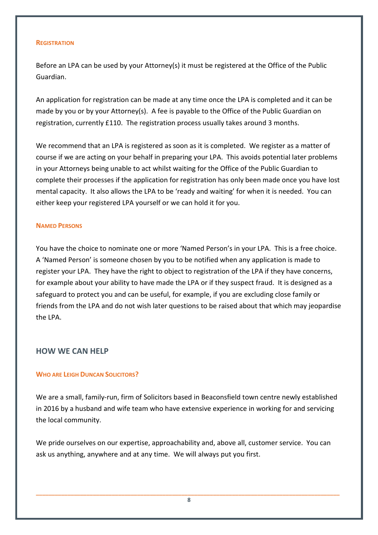#### **REGISTRATION**

Before an LPA can be used by your Attorney(s) it must be registered at the Office of the Public Guardian.

An application for registration can be made at any time once the LPA is completed and it can be made by you or by your Attorney(s). A fee is payable to the Office of the Public Guardian on registration, currently £110. The registration process usually takes around 3 months.

We recommend that an LPA is registered as soon as it is completed. We register as a matter of course if we are acting on your behalf in preparing your LPA. This avoids potential later problems in your Attorneys being unable to act whilst waiting for the Office of the Public Guardian to complete their processes if the application for registration has only been made once you have lost mental capacity. It also allows the LPA to be 'ready and waiting' for when it is needed. You can either keep your registered LPA yourself or we can hold it for you.

#### NAMED PERSONS

You have the choice to nominate one or more 'Named Person's in your LPA. This is a free choice. A 'Named Person' is someone chosen by you to be notified when any application is made to register your LPA. They have the right to object to registration of the LPA if they have concerns, for example about your ability to have made the LPA or if they suspect fraud. It is designed as a safeguard to protect you and can be useful, for example, if you are excluding close family or friends from the LPA and do not wish later questions to be raised about that which may jeopardise the LPA.

# HOW WE CAN HELP

# WHO ARE LEIGH DUNCAN SOLICITORS?

We are a small, family-run, firm of Solicitors based in Beaconsfield town centre newly established in 2016 by a husband and wife team who have extensive experience in working for and servicing the local community.

We pride ourselves on our expertise, approachability and, above all, customer service. You can ask us anything, anywhere and at any time. We will always put you first.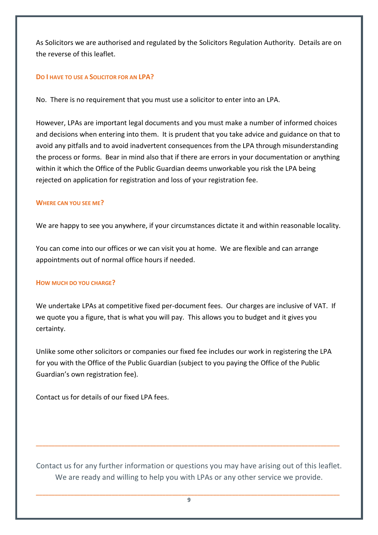As Solicitors we are authorised and regulated by the Solicitors Regulation Authority. Details are on the reverse of this leaflet.

#### DO I HAVE TO USE A SOLICITOR FOR AN LPA?

No. There is no requirement that you must use a solicitor to enter into an LPA.

However, LPAs are important legal documents and you must make a number of informed choices and decisions when entering into them. It is prudent that you take advice and guidance on that to avoid any pitfalls and to avoid inadvertent consequences from the LPA through misunderstanding the process or forms. Bear in mind also that if there are errors in your documentation or anything within it which the Office of the Public Guardian deems unworkable you risk the LPA being rejected on application for registration and loss of your registration fee.

# WHERE CAN YOU SEE ME?

We are happy to see you anywhere, if your circumstances dictate it and within reasonable locality.

You can come into our offices or we can visit you at home. We are flexible and can arrange appointments out of normal office hours if needed.

#### HOW MUCH DO YOU CHARGE?

We undertake LPAs at competitive fixed per-document fees. Our charges are inclusive of VAT. If we quote you a figure, that is what you will pay. This allows you to budget and it gives you certainty.

Unlike some other solicitors or companies our fixed fee includes our work in registering the LPA for you with the Office of the Public Guardian (subject to you paying the Office of the Public Guardian's own registration fee).

Contact us for details of our fixed LPA fees.

Contact us for any further information or questions you may have arising out of this leaflet. We are ready and willing to help you with LPAs or any other service we provide.

\_\_\_\_\_\_\_\_\_\_\_\_\_\_\_\_\_\_\_\_\_\_\_\_\_\_\_\_\_\_\_\_\_\_\_\_\_\_\_\_\_\_\_\_\_\_\_\_\_\_\_\_\_\_\_\_\_\_\_\_\_\_\_\_\_\_\_\_\_\_\_\_\_\_\_\_\_\_\_\_\_\_\_\_\_\_\_\_\_\_\_\_\_\_\_\_